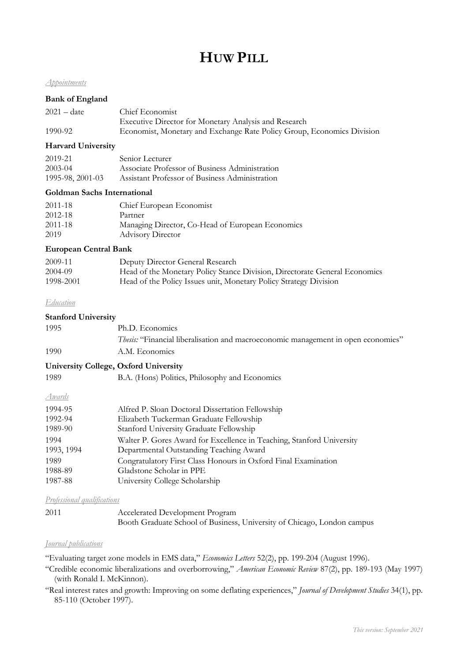# **HUW PILL**

# *Appointments*

# **Bank of England**

| $2021 - date$ | Chief Economist                                                        |
|---------------|------------------------------------------------------------------------|
|               | Executive Director for Monetary Analysis and Research                  |
| 1990-92       | Economist, Monetary and Exchange Rate Policy Group, Economics Division |

## **Harvard University**

| 2019-21          | Senior Lecturer                                |
|------------------|------------------------------------------------|
| $2003 - 04$      | Associate Professor of Business Administration |
| 1995-98, 2001-03 | Assistant Professor of Business Administration |

#### **Goldman Sachs International**

| 2011-18     | Chief European Economist                         |
|-------------|--------------------------------------------------|
| 2012-18     | Partner                                          |
| $2011 - 18$ | Managing Director, Co-Head of European Economics |
| 2019        | <b>Advisory Director</b>                         |

## **European Central Bank**

| 2009-11   | Deputy Director General Research                                           |
|-----------|----------------------------------------------------------------------------|
| 2004-09   | Head of the Monetary Policy Stance Division, Directorate General Economics |
| 1998-2001 | Head of the Policy Issues unit, Monetary Policy Strategy Division          |

#### *Education*

## **Stanford University**

| 1995 | Ph.D. Economics                                                                   |
|------|-----------------------------------------------------------------------------------|
|      | Thesis: "Financial liberalisation and macroeconomic management in open economies" |
| 1990 | A.M. Economics                                                                    |

# **University College, Oxford University**

| 1989 |  |  | B.A. (Hons) Politics, Philosophy and Economics |  |
|------|--|--|------------------------------------------------|--|
|      |  |  |                                                |  |

# *Awards*

| 1994-95    | Alfred P. Sloan Doctoral Dissertation Fellowship                      |
|------------|-----------------------------------------------------------------------|
| 1992-94    | Elizabeth Tuckerman Graduate Fellowship                               |
| 1989-90    | Stanford University Graduate Fellowship                               |
| 1994       | Walter P. Gores Award for Excellence in Teaching, Stanford University |
| 1993, 1994 | Departmental Outstanding Teaching Award                               |
| 1989       | Congratulatory First Class Honours in Oxford Final Examination        |
| 1988-89    | Gladstone Scholar in PPE                                              |
| 1987-88    | University College Scholarship                                        |

*Professional qualifications*

| 2011 | Accelerated Development Program                                         |
|------|-------------------------------------------------------------------------|
|      | Booth Graduate School of Business, University of Chicago, London campus |

# *Journal publications*

"Evaluating target zone models in EMS data," *Economics Letters* 52(2), pp. 199-204 (August 1996).

"Credible economic liberalizations and overborrowing," *American Economic Review* 87(2), pp. 189-193 (May 1997) (with Ronald I. McKinnon).

"Real interest rates and growth: Improving on some deflating experiences," *Journal of Development Studies* 34(1), pp. 85-110 (October 1997).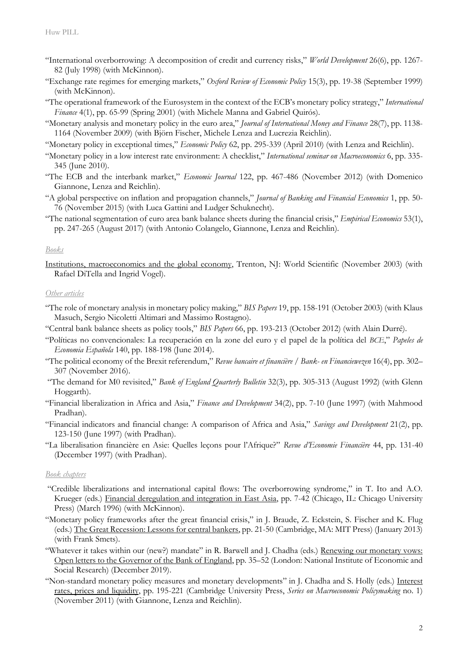- "International overborrowing: A decomposition of credit and currency risks," *World Development* 26(6), pp. 1267- 82 (July 1998) (with McKinnon).
- "Exchange rate regimes for emerging markets," *Oxford Review of Economic Policy* 15(3), pp. 19-38 (September 1999) (with McKinnon).
- "The operational framework of the Eurosystem in the context of the ECB's monetary policy strategy," *International Finance* 4(1), pp. 65-99 (Spring 2001) (with Michele Manna and Gabriel Quirós).
- "Monetary analysis and monetary policy in the euro area," *Journal of International Money and Finance* 28(7), pp. 1138- 1164 (November 2009) (with Björn Fischer, Michele Lenza and Lucrezia Reichlin).

"Monetary policy in exceptional times," *Economic Policy* 62, pp. 295-339 (April 2010) (with Lenza and Reichlin).

- "Monetary policy in a low interest rate environment: A checklist," *International seminar on Macroeconomics* 6, pp. 335- 345 (June 2010).
- "The ECB and the interbank market," *Economic Journal* 122, pp. 467-486 (November 2012) (with Domenico Giannone, Lenza and Reichlin).
- "A global perspective on inflation and propagation channels," *Journal of Banking and Financial Economics* 1, pp. 50- 76 (November 2015) (with Luca Gattini and Ludger Schuknecht).
- "The national segmentation of euro area bank balance sheets during the financial crisis," *Empirical Economics* 53(1), pp. 247-265 (August 2017) (with Antonio Colangelo, Giannone, Lenza and Reichlin).

## *Books*

Institutions, macroeconomics and the global economy, Trenton, NJ: World Scientific (November 2003) (with Rafael DiTella and Ingrid Vogel).

#### *Other articles*

- "The role of monetary analysis in monetary policy making," *BIS Papers* 19, pp. 158-191 (October 2003) (with Klaus Masuch, Sergio Nicoletti Altimari and Massimo Rostagno).
- "Central bank balance sheets as policy tools," *BIS Papers* 66, pp. 193-213 (October 2012) (with Alain Durré).
- "Políticas no convencionales: La recuperación en la zone del euro y el papel de la política del *BCE*," *Papeles de Economia Española* 140, pp. 188-198 (June 2014).
- "The political economy of the Brexit referendum," *Revue bancaire et financière / Bank- en Financiewezen* 16(4), pp. 302– 307 (November 2016).
- "The demand for M0 revisited," *Bank of England Quarterly Bulletin* 32(3), pp. 305-313 (August 1992) (with Glenn Hoggarth).
- "Financial liberalization in Africa and Asia," *Finance and Development* 34(2), pp. 7-10 (June 1997) (with Mahmood Pradhan).
- "Financial indicators and financial change: A comparison of Africa and Asia," *Savings and Development* 21(2), pp. 123-150 (June 1997) (with Pradhan).
- "La liberalisation financière en Asie: Quelles leçons pour l'Afrique?" *Revue d'Economie Financière* 44, pp. 131-40 (December 1997) (with Pradhan).

#### *Book chapters*

- "Credible liberalizations and international capital flows: The overborrowing syndrome," in T. Ito and A.O. Krueger (eds.) Financial deregulation and integration in East Asia, pp. 7-42 (Chicago, IL: Chicago University Press) (March 1996) (with McKinnon).
- "Monetary policy frameworks after the great financial crisis," in J. Braude, Z. Eckstein, S. Fischer and K. Flug (eds.) The Great Recession: Lessons for central bankers, pp. 21-50 (Cambridge, MA: MIT Press) (January 2013) (with Frank Smets).
- "Whatever it takes within our (new?) mandate" in R. Barwell and J. Chadha (eds.) Renewing our monetary vows: Open letters to the Governor of the Bank of England, pp. 35–52 (London: National Institute of Economic and Social Research) (December 2019).
- "Non-standard monetary policy measures and monetary developments" in J. Chadha and S. Holly (eds.) Interest rates, prices and liquidity, pp. 195-221 (Cambridge University Press, *Series on Macroeconomic Policymaking* no. 1) (November 2011) (with Giannone, Lenza and Reichlin).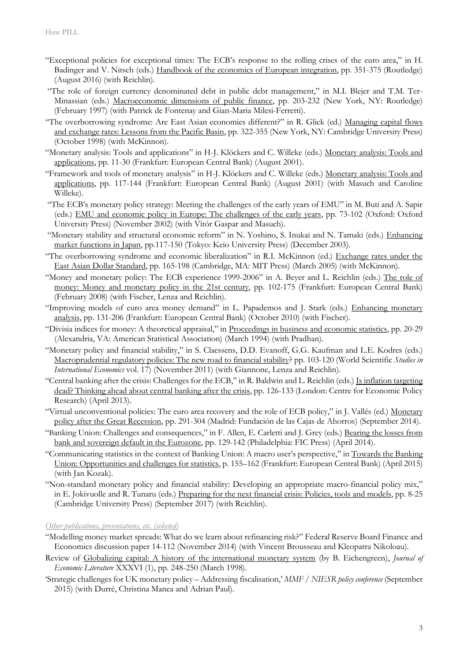- "Exceptional policies for exceptional times: The ECB's response to the rolling crises of the euro area," in H. Badinger and V. Nitsch (eds.) Handbook of the economics of European integration, pp. 351-375 (Routledge) (August 2016) (with Reichlin).
- "The role of foreign currency denominated debt in public debt management," in M.I. Blejer and T.M. Ter-Minassian (eds.) Macroeconomic dimensions of public finance, pp. 203-232 (New York, NY: Routledge) (February 1997) (with Patrick de Fontenay and Gian-Maria Milesi-Ferretti).
- "The overborrowing syndrome: Are East Asian economies different?" in R. Glick (ed.) Managing capital flows and exchange rates: Lessons from the Pacific Basin, pp. 322-355 (New York, NY: Cambridge University Press) (October 1998) (with McKinnon).
- "Monetary analysis: Tools and applications" in H-J. Klöckers and C. Willeke (eds.) Monetary analysis: Tools and applications, pp. 11-30 (Frankfurt: European Central Bank) (August 2001).
- "Framework and tools of monetary analysis" in H-J. Klöckers and C. Willeke (eds.) Monetary analysis: Tools and applications, pp. 117-144 (Frankfurt: European Central Bank) (August 2001) (with Masuch and Caroline Willeke).
- "The ECB's monetary policy strategy: Meeting the challenges of the early years of EMU" in M. Buti and A. Sapir (eds.) EMU and economic policy in Europe: The challenges of the early years, pp. 73-102 (Oxford: Oxford University Press) (November 2002) (with Vìtór Gaspar and Masuch).
- "Monetary stability and structural economic reform" in N. Yoshino, S. Inukai and N. Tamaki (eds.) Enhancing market functions in Japan, pp.117-150 (Tokyo: Keio University Press) (December 2003).
- "The overborrowing syndrome and economic liberalization" in R.I. McKinnon (ed.) Exchange rates under the East Asian Dollar Standard, pp. 165-198 (Cambridge, MA: MIT Press) (March 2005) (with McKinnon).
- "Money and monetary policy: The ECB experience 1999-2006" in A. Beyer and L. Reichlin (eds.) The role of money: Money and monetary policy in the 21st century, pp. 102-175 (Frankfurt: European Central Bank) (February 2008) (with Fischer, Lenza and Reichlin).
- "Improving models of euro area money demand" in L. Papademos and J. Stark (eds.) Enhancing monetary analysis, pp. 131-206 (Frankfurt: European Central Bank) (October 2010) (with Fischer).
- "Divisia indices for money: A theoretical appraisal," in Proceedings in business and economic statistics, pp. 20-29 (Alexandria, VA: American Statistical Association) (March 1994) (with Pradhan).
- "Monetary policy and financial stability," in S. Claessens, D.D. Evanoff, G.G. Kaufman and L.E. Kodres (eds.) Macroprudential regulatory policies: The new road to financial stability? pp. 103-120 (World Scientific *Studies in International Economics* vol. 17) (November 2011) (with Giannone, Lenza and Reichlin).
- "Central banking after the crisis: Challenges for the ECB," in R. Baldwin and L. Reichlin (eds.) Is inflation targeting dead? Thinking ahead about central banking after the crisis, pp. 126-133 (London: Centre for Economic Policy Research) (April 2013).
- "Virtual unconventional policies: The euro area recovery and the role of ECB policy," in J. Vallés (ed.) Monetary policy after the Great Recession, pp. 291-304 (Madrid: Fundación de las Cajas de Ahorros) (September 2014).
- "Banking Union: Challenges and consequences," in F. Allen, E. Carletti and J. Grey (eds.) Bearing the losses from bank and sovereign default in the Eurozone, pp. 129-142 (Philadelphia: FIC Press) (April 2014).
- "Communicating statistics in the context of Banking Union: A macro user's perspective," in Towards the Banking Union: Opportunities and challenges for statistics, p. 155–162 (Frankfurt: European Central Bank) (April 2015) (with Jan Kozak).
- "Non-standard monetary policy and financial stability: Developing an appropriate macro-financial policy mix," in E. Jokivuolle and R. Tunaru (eds.) Preparing for the next financial crisis: Policies, tools and models, pp. 8-25 (Cambridge University Press) (September 2017) (with Reichlin).

# *Other publications, presentations, etc. (selected)*

- "Modelling money market spreads: What do we learn about refinancing risk?" Federal Reserve Board Finance and Economics discussion paper 14-112 (November 2014) (with Vincent Brousseau and Kleopatra Nikoloau).
- Review of Globalizing capital: A history of the international monetary system (by B. Eichengreen), *Journal of Economic Literature* XXXVI (1), pp. 248-250 (March 1998).
- 'Strategic challenges for UK monetary policy Addressing fiscalisation,' *MMF / NIESR policy conference* (September 2015) (with Durré, Christina Manea and Adrian Paul).